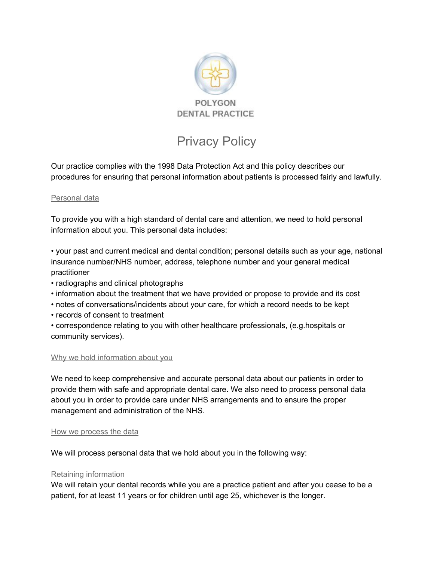

# Privacy Policy

Our practice complies with the 1998 Data Protection Act and this policy describes our procedures for ensuring that personal information about patients is processed fairly and lawfully.

## Personal data

To provide you with a high standard of dental care and attention, we need to hold personal information about you. This personal data includes:

• your past and current medical and dental condition; personal details such as your age, national insurance number/NHS number, address, telephone number and your general medical practitioner

- radiographs and clinical photographs
- information about the treatment that we have provided or propose to provide and its cost
- notes of conversations/incidents about your care, for which a record needs to be kept
- records of consent to treatment

• correspondence relating to you with other healthcare professionals, (e.g.hospitals or community services).

## Why we hold information about you

We need to keep comprehensive and accurate personal data about our patients in order to provide them with safe and appropriate dental care. We also need to process personal data about you in order to provide care under NHS arrangements and to ensure the proper management and administration of the NHS.

#### How we process the data

We will process personal data that we hold about you in the following way:

## Retaining information

We will retain your dental records while you are a practice patient and after you cease to be a patient, for at least 11 years or for children until age 25, whichever is the longer.